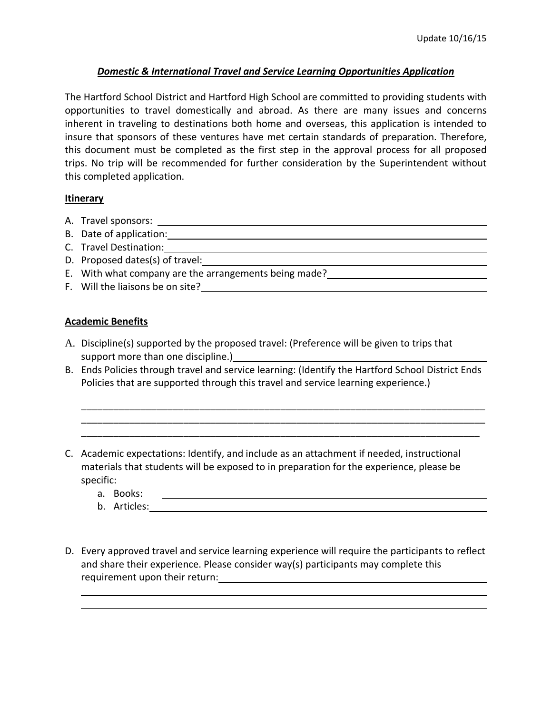# *Domestic & International Travel and Service Learning Opportunities Application*

The Hartford School District and Hartford High School are committed to providing students with opportunities to travel domestically and abroad. As there are many issues and concerns inherent in traveling to destinations both home and overseas, this application is intended to insure that sponsors of these ventures have met certain standards of preparation. Therefore, this document must be completed as the first step in the approval process for all proposed trips. No trip will be recommended for further consideration by the Superintendent without this completed application.

## **Itinerary**

- A. Travel sponsors:
- B. Date of application:
- C. Travel Destination:
- D. Proposed dates(s) of travel:
- E. With what company are the arrangements being made?
- F. Will the liaisons be on site?

## **Academic Benefits**

- A. Discipline(s) supported by the proposed travel: (Preference will be given to trips that support more than one discipline.)
- B. Ends Policies through travel and service learning: (Identify the Hartford School District Ends Policies that are supported through this travel and service learning experience.)

\_\_\_\_\_\_\_\_\_\_\_\_\_\_\_\_\_\_\_\_\_\_\_\_\_\_\_\_\_\_\_\_\_\_\_\_\_\_\_\_\_\_\_\_\_\_\_\_\_\_\_\_\_\_\_\_\_\_\_\_\_\_\_\_\_\_\_\_\_\_\_\_\_\_\_ \_\_\_\_\_\_\_\_\_\_\_\_\_\_\_\_\_\_\_\_\_\_\_\_\_\_\_\_\_\_\_\_\_\_\_\_\_\_\_\_\_\_\_\_\_\_\_\_\_\_\_\_\_\_\_\_\_\_\_\_\_\_\_\_\_\_\_\_\_\_\_\_\_\_\_ \_\_\_\_\_\_\_\_\_\_\_\_\_\_\_\_\_\_\_\_\_\_\_\_\_\_\_\_\_\_\_\_\_\_\_\_\_\_\_\_\_\_\_\_\_\_\_\_\_\_\_\_\_\_\_\_\_\_\_\_\_\_\_\_\_\_\_\_\_\_\_\_\_\_

- C. Academic expectations: Identify, and include as an attachment if needed, instructional materials that students will be exposed to in preparation for the experience, please be specific:
	- a. Books:
	- b. Articles:
- D. Every approved travel and service learning experience will require the participants to reflect and share their experience. Please consider way(s) participants may complete this requirement upon their return:

<u> 1989 - Andrea Barbara, amerikan basar dan berasal dalam berasal dalam berasal dalam berasal dalam berasal da</u>

<u> 1980 - Andrea Santa Andrea Santa Andrea Santa Andrea Santa Andrea Santa Andrea Santa Andrea Santa Andrea San</u>